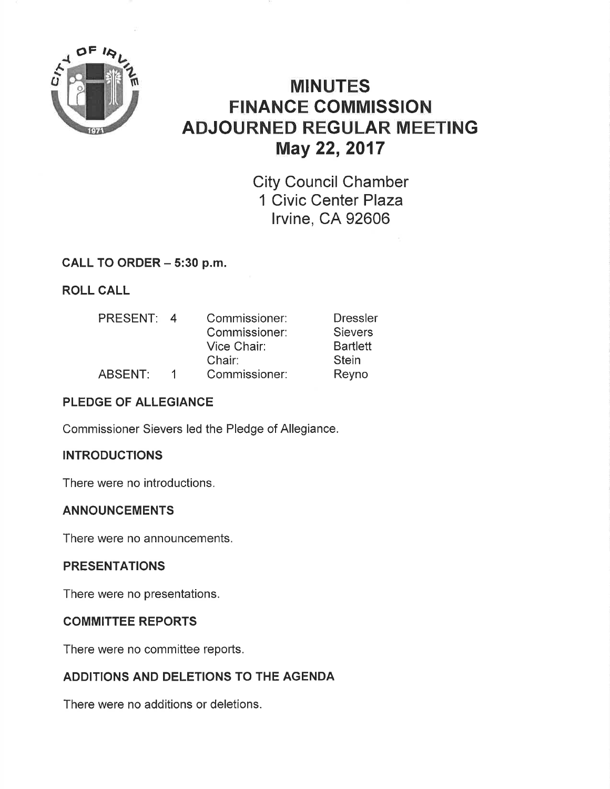

# MINUTES FINANCE COMMISSION ADJOURNED REGULAR MEETING May 22, 2017

City Council Chamber 1 Civic Center Plaza lrvine, CA 92606

# CALL TO ORDER - 5:30 p.m.

ROLL CALL

| <b>PRESENT:</b> | 4 | Commissioner: | <b>Dressler</b> |
|-----------------|---|---------------|-----------------|
|                 |   | Commissioner: | <b>Sievers</b>  |
|                 |   | Vice Chair:   | <b>Bartlett</b> |
|                 |   | Chair:        | <b>Stein</b>    |
| ABSENT:         |   | Commissioner: | Reyno           |

# PLEDGE OF ALLEGIANCE

Commissioner Sievers led the Pledge of Allegiance.

# INTRODUCTIONS

There were no introductions.

# ANNOUNCEMENTS

There were no announcements,

# PRESENTATIONS

There were no presentations.

# COMMITTEE REPORTS

There were no committee reports.

# ADDITIONS AND DELETIONS TO THE AGENDA

There were no additions or deletions.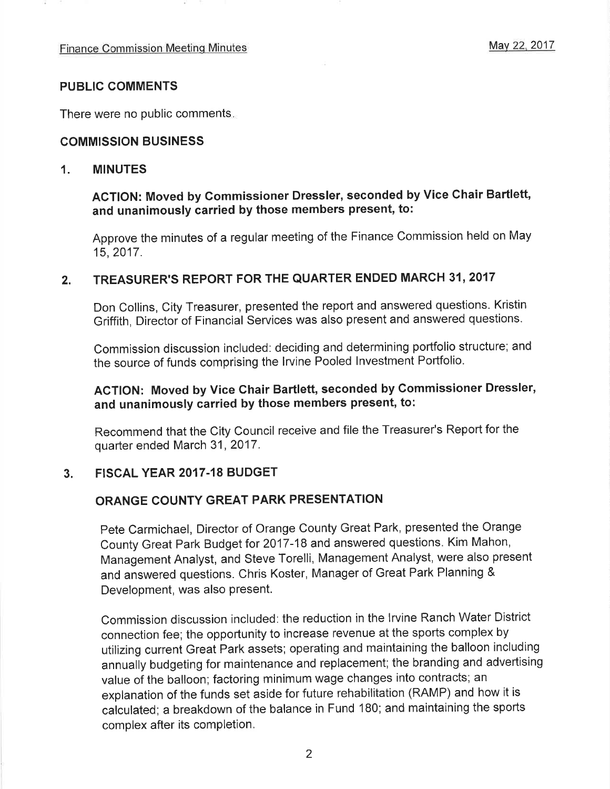#### PUBLIC COMMENTS

There were no public comments

#### COMMISSION BUSINESS

#### 1. MINUTES

# AGTION: Moved by Commissioner Dressler, seconded by Vice Ghair Bartlett, and unanimously carried by those members present, to:

Approve the minutes of a regular meeting of the Finance Commission held on May 15,2017.

#### 2. TREASURER'S REPORT FOR THE QUARTER ENDED MARCH 31,2017

Don Collins, City Treasurer, presented the report and answered questions. Kristin Griffith, Director of Financial Services was also present and answered questions.

Commission discussion included: deciding and determining portfolio structure; and the source of funds comprising the lrvine Pooled lnvestment Portfolio.

# ACTION: Moved by Vice Chair Bartlett, seconded by Gommissioner Dressler, and unanimously carried by those members present, to:

Recommend that the City Council receive and file the Treasurer's Report for the quarter ended March 31,2017.

#### 3. FISCAL YEAR 2017.18 BUDGET

#### ORANGE COUNTY GREAT PARK PRESENTATION

Pete Carmichael, Director of Orange County Great Park, presented the Orange County Great Park Budget for 2017-18 and answered questions. Kim Mahon, Management Analyst, and Steve Torelli, Management Analyst, were also present and answered questions. Chris Koster, Manager of Great Park Planning & Development, was also present.

Commission discussion included: the reduction in the lrvine Ranch Water District connection fee; the opportunity to increase revenue at the sports complex by utilizing current Great Park assets; operating and maintaining the balloon including annually budgeting for maintenance and replacement; the branding and advertising value of the balloon; factoring minimum wage changes into contracts; an explanation of the funds set aside for future rehabilitation (RAMP) and how it is calculated; a breakdown of the balance in Fund 180; and maintaining the sports complex after its completion.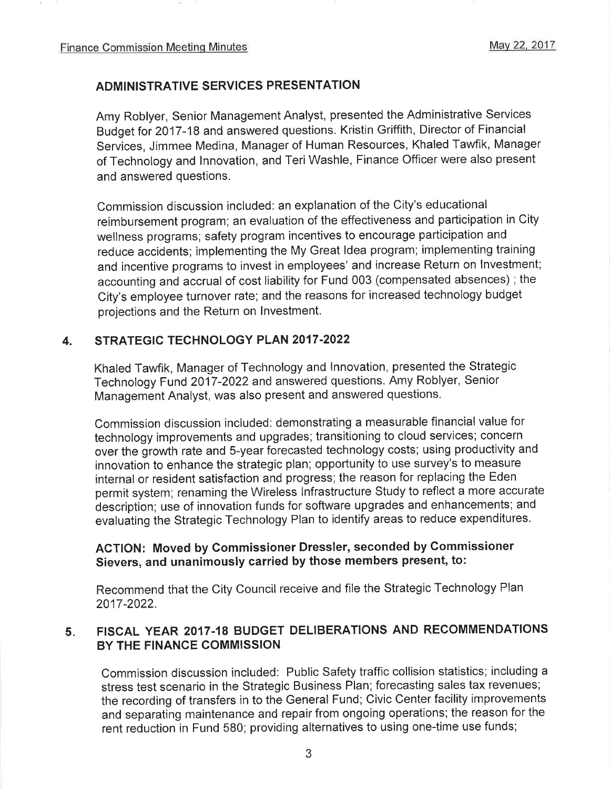#### ADMINISTRATIVE SERVICES PRESENTATION

Amy Roblyer, Senior Management Analyst, presented the Administrative Services Budget for 2017-18 and answered questions. Kristin Griffith, Director of Financial Services, Jimmee Medina, Manager of Human Resources, Khaled Tawfik, Manager of Technology and lnnovation, and Teri Washle, Finance Officer were also present and answered questions.

Commission discussion included: an explanation of the City's educational reimbursement program; an evaluation of the effectiveness and participation in City wellness programs; safety program incentives to encourage participation and reduce accidents; implementing the My Great ldea program; implementing training and incentive programs to invest in employees' and increase Return on lnvestment; accounting and accrual of cost liability for Fund 003 (compensated absences) ; the City's employee turnover rate; and the reasons for increased technology budget projections and the Return on lnvestment.

# 4. STRATEGIC TECHNOLOGY PLAN 2017.2022

Khaled Tawfik, Manager of Technology and lnnovation, presented the Strategic Technology Fund 2017-2022 and answered questions. Amy Roblyer, Senior Management Analyst, was also present and answered questions.

Commission discussion included: demonstrating a measurable financial value for technology improvements and upgrades; transitioning to cloud services; concern over the growth rate and S-year forecasted technology costs; using productivity and innovation to enhance the strategic plan; opportunity to use survey's to measure internal or resident satisfaction and progress; the reason for replacing the Eden permit system; renaming the Wireless lnfrastructure Study to reflect a more accurate description; use of innovation funds for software upgrades and enhancements; and evaluating the Strategic Technology Plan to identify areas to reduce expenditures.

# ACTION: Moved by Commissioner Dressler, seconded by Commissioner Sievers, and unanimously carried by those members present, to:

Recommend that the City Council receive and file the Strategic Technology Plan 2017-2022.

#### FISCAL YEAR 2017.18 BUDGET DELIBERATIONS AND RECOMMENDATIONS BY THE FINANCE COMMISSION 5

Commission discussion included: Public Safety traffic collision statistics; including a stress test scenario in the Strategic Business Plan; forecasting sales tax revenues; the recording of transfers in to the General Fund; Civic Center facility improvements and separating maintenance and repair from ongoing operations; the reason for the rent reduction in Fund 580; providing alternatives to using one-time use funds;